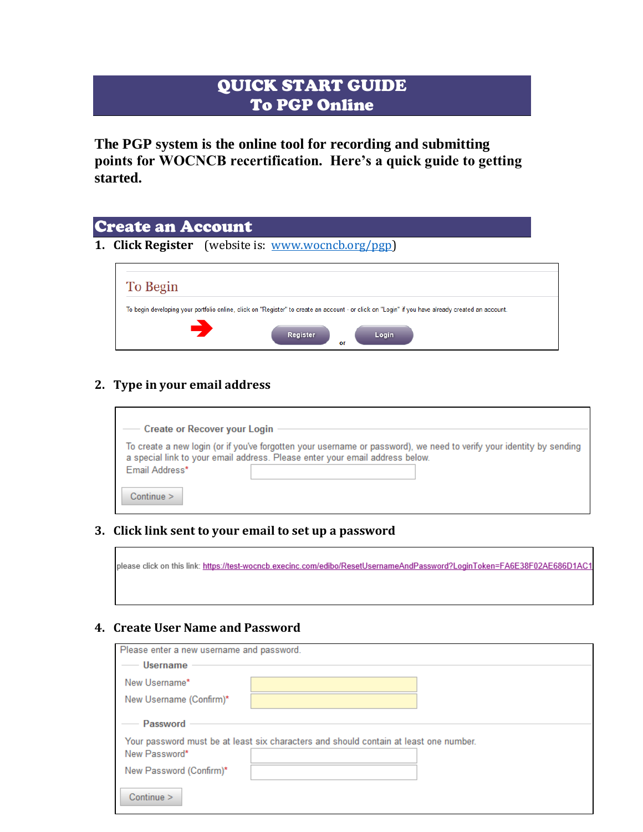## QUICK START GUIDE To PGP Online

**The PGP system is the online tool for recording and submitting points for WOCNCB recertification. Here's a quick guide to getting started.**

## Create an Account

**1. Click Register** (website is: [www.wocncb.org/pgp\)](http://www.wocncb.org/pgp)

| To Begin                                                                                                                                                                     |
|------------------------------------------------------------------------------------------------------------------------------------------------------------------------------|
| To begin developing your portfolio online, click on "Register" to create an account - or click on "Login" if you have already created an account.<br>Register<br>Login<br>or |

### **2. Type in your email address**

| - Create or Recover your Login                                                                                                                                                                       |
|------------------------------------------------------------------------------------------------------------------------------------------------------------------------------------------------------|
| To create a new login (or if you've forgotten your username or password), we need to verify your identity by sending<br>a special link to your email address. Please enter your email address below. |
| Email Address*                                                                                                                                                                                       |
| $\text{Continue}$                                                                                                                                                                                    |

#### **3. Click link sent to your email to set up a password**

please click on this link: https://test-wocncb.execinc.com/edibo/ResetUsernameAndPassword?LoginToken=FA6E38F02AE686D1AC1

### **4. Create User Name and Password**

| Please enter a new username and password. |                                                                                       |  |
|-------------------------------------------|---------------------------------------------------------------------------------------|--|
| Username                                  |                                                                                       |  |
| New Username*                             |                                                                                       |  |
| New Username (Confirm)*                   |                                                                                       |  |
| Password                                  |                                                                                       |  |
| New Password*                             | Your password must be at least six characters and should contain at least one number. |  |
| New Password (Confirm)*                   |                                                                                       |  |
| Continue >                                |                                                                                       |  |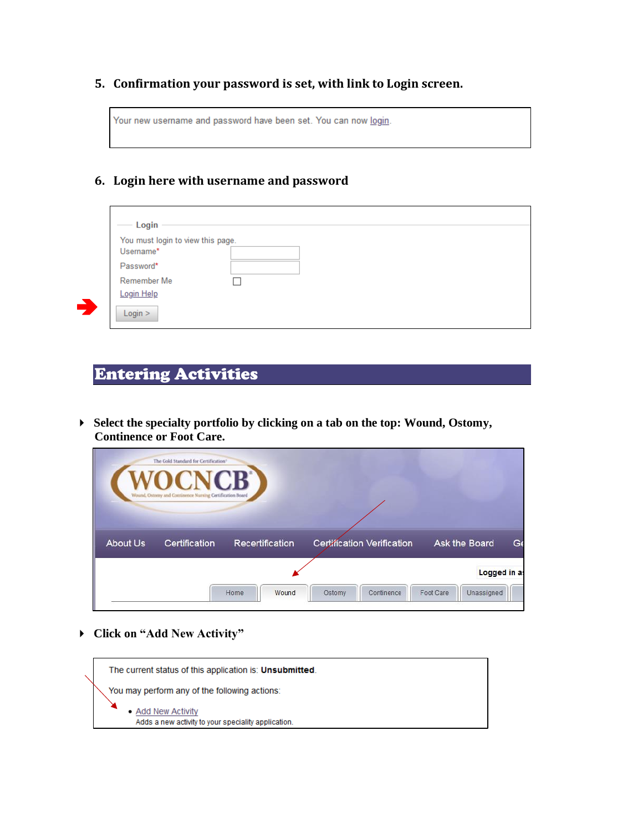**5. Confirmation your password is set, with link to Login screen.**

Your new username and password have been set. You can now login.

### **6. Login here with username and password**

| You must login to view this page. |  |  |
|-----------------------------------|--|--|
| Username*                         |  |  |
| Password*                         |  |  |
| <b>Remember Me</b>                |  |  |
| Login Help                        |  |  |

# Entering Activities

 **Select the specialty portfolio by clicking on a tab on the top: Wound, Ostomy, Continence or Foot Care.**

|          | The Gold Standard for Certification <sup>®</sup><br><b>CNCB</b><br>Wound, Ostomy and Continence Nursing Certification Board |                 |                            |                         |    |
|----------|-----------------------------------------------------------------------------------------------------------------------------|-----------------|----------------------------|-------------------------|----|
| About Us | Certification                                                                                                               | Recertification | Certification Verification | Ask the Board           | Ge |
|          |                                                                                                                             |                 |                            | Logged in as            |    |
|          |                                                                                                                             | Wound<br>Home   | Ostomy<br>Continence       | Foot Care<br>Unassigned |    |

**Click on "Add New Activity"**

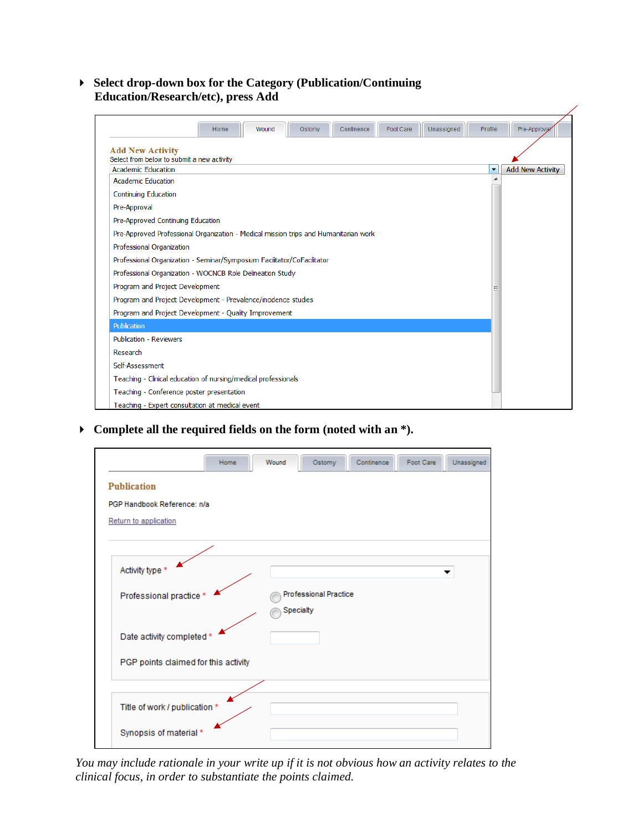**Select drop-down box for the Category (Publication/Continuing Education/Research/etc), press Add**

|                                                                                      | Home | Wound | Ostomy | Continence | Foot Care | Unassigned | Profile              | Pre-Approval            |
|--------------------------------------------------------------------------------------|------|-------|--------|------------|-----------|------------|----------------------|-------------------------|
| <b>Add New Activity</b><br>Select from below to submit a new activity                |      |       |        |            |           |            |                      |                         |
| <b>Academic Education</b>                                                            |      |       |        |            |           |            | $\blacktriangledown$ | <b>Add New Activity</b> |
| <b>Academic Education</b>                                                            |      |       |        |            |           |            |                      |                         |
| <b>Continuing Education</b>                                                          |      |       |        |            |           |            |                      |                         |
| Pre-Approval                                                                         |      |       |        |            |           |            |                      |                         |
| Pre-Approved Continuing Education                                                    |      |       |        |            |           |            |                      |                         |
| Pre-Approved Professional Organization - Medical mission trips and Humanitarian work |      |       |        |            |           |            |                      |                         |
| <b>Professional Organization</b>                                                     |      |       |        |            |           |            |                      |                         |
| Professional Organization - Seminar/Symposium Facilitator/CoFacilitator              |      |       |        |            |           |            |                      |                         |
| Professional Organization - WOCNCB Role Delineation Study                            |      |       |        |            |           |            |                      |                         |
| Program and Project Development                                                      |      |       |        |            |           |            |                      |                         |
| Program and Project Development - Prevalence/incidence studies                       |      |       |        |            |           |            |                      |                         |
| Program and Project Development - Quality Improvement                                |      |       |        |            |           |            |                      |                         |
| Publication                                                                          |      |       |        |            |           |            |                      |                         |
| <b>Publication - Reviewers</b>                                                       |      |       |        |            |           |            |                      |                         |
| Research                                                                             |      |       |        |            |           |            |                      |                         |
| Self-Assessment                                                                      |      |       |        |            |           |            |                      |                         |
| Teaching - Clinical education of nursing/medical professionals                       |      |       |        |            |           |            |                      |                         |
| Teaching - Conference poster presentation                                            |      |       |        |            |           |            |                      |                         |
| Teaching - Expert consultation at medical event                                      |      |       |        |            |           |            |                      |                         |

1

**Complete all the required fields on the form (noted with an \*).**

|                                      | Home | Wound | Ostomy                       | Continence | Foot Care | Unassigned |
|--------------------------------------|------|-------|------------------------------|------------|-----------|------------|
| <b>Publication</b>                   |      |       |                              |            |           |            |
| PGP Handbook Reference: n/a          |      |       |                              |            |           |            |
| Return to application                |      |       |                              |            |           |            |
|                                      |      |       |                              |            |           |            |
| Activity type *                      |      |       |                              |            |           |            |
| Professional practice*               |      |       | <b>Professional Practice</b> |            |           |            |
|                                      |      |       | Specialty                    |            |           |            |
| Date activity completed *            |      |       |                              |            |           |            |
| PGP points claimed for this activity |      |       |                              |            |           |            |
|                                      |      |       |                              |            |           |            |
| Title of work / publication *        |      |       |                              |            |           |            |
| Synopsis of material *               |      |       |                              |            |           |            |

*You may include rationale in your write up if it is not obvious how an activity relates to the clinical focus, in order to substantiate the points claimed.*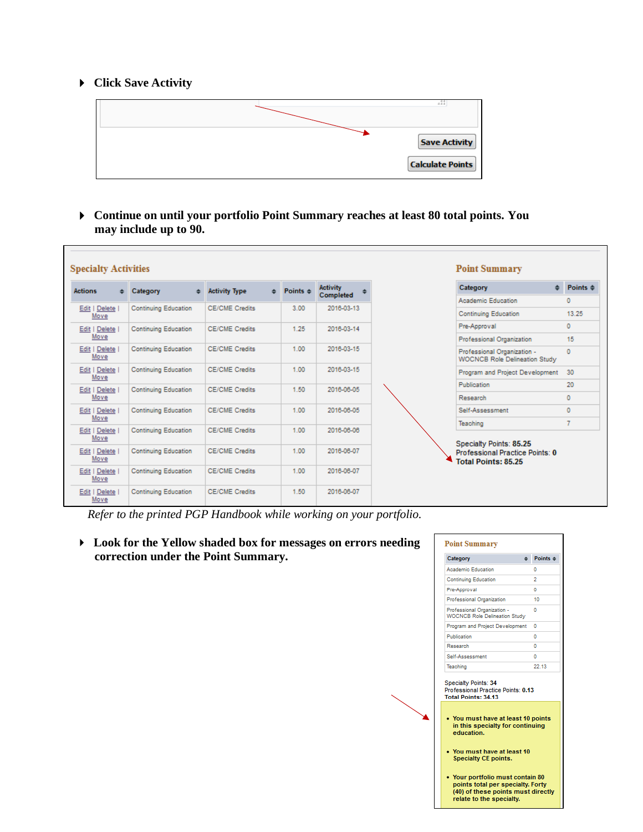**Click Save Activity** 



**Continue on until your portfolio Point Summary reaches at least 80 total points. You may include up to 90.**

| <b>Specialty Activities</b> |                             |                            |           |                      |                              | <b>Point Summary</b>                                                |                                |
|-----------------------------|-----------------------------|----------------------------|-----------|----------------------|------------------------------|---------------------------------------------------------------------|--------------------------------|
| <b>Actions</b>              | $\div$ Category             | $\triangleq$ Activity Type | $\bullet$ | Points $\Rightarrow$ | <b>Activity</b><br>Completed | Category                                                            | $\triangle$ Points $\triangle$ |
|                             |                             |                            |           |                      |                              | <b>Academic Education</b>                                           | ٥                              |
| Edit   Delete  <br>Move     | <b>Continuing Education</b> | <b>CE/CME Credits</b>      |           | 3.00                 | 2016-03-13                   | <b>Continuing Education</b>                                         | 13.25                          |
| Edit   Delete               | <b>Continuing Education</b> | <b>CE/CME Credits</b>      |           | 1.25                 | 2016-03-14                   | Pre-Approval                                                        | $\circ$                        |
| Move                        |                             |                            |           |                      |                              | Professional Organization                                           | 15                             |
| Edit   Delete  <br>Move     | <b>Continuing Education</b> | <b>CE/CME Credits</b>      |           | 1.00                 | 2016-03-15                   | Professional Organization -<br><b>WOCNCB Role Delineation Study</b> | $\Omega$                       |
| Edit   Delete  <br>Move     | <b>Continuing Education</b> | <b>CE/CME Credits</b>      |           | 1.00                 | 2016-03-15                   | Program and Project Development                                     | 30                             |
| Edit   Delete               | <b>Continuing Education</b> | <b>CE/CME Credits</b>      |           | 1.50                 | 2016-06-05                   | <b>Publication</b>                                                  | 20                             |
| Move                        |                             |                            |           |                      |                              | Research                                                            | o                              |
| Edit   Delete               | <b>Continuing Education</b> | <b>CE/CME Credits</b>      |           | 1.00                 | 2016-06-05                   | Self-Assessment                                                     | $\mathbf{0}$                   |
| Move                        |                             |                            |           |                      |                              | Teaching                                                            | 7                              |
| Edit   Delete  <br>Move     | <b>Continuing Education</b> | <b>CE/CME Credits</b>      |           | 1.00                 | 2016-06-06                   | Specialty Points: 85.25                                             |                                |
| Edit   Delete  <br>Move     | <b>Continuing Education</b> | <b>CE/CME Credits</b>      |           | 1.00                 | 2016-06-07                   | Professional Practice Points: 0<br><b>Total Points: 85.25</b>       |                                |
| Edit   Delete  <br>Move     | <b>Continuing Education</b> | <b>CE/CME Credits</b>      |           | 1.00                 | 2016-06-07                   |                                                                     |                                |
| Edit   Delete  <br>Move     | <b>Continuing Education</b> | <b>CE/CME Credits</b>      |           | 1.50                 | 2016-06-07                   |                                                                     |                                |

*Refer to the printed PGP Handbook while working on your portfolio.* 

 **Look for the Yellow shaded box for messages on errors needing correction under the Point Summary.**

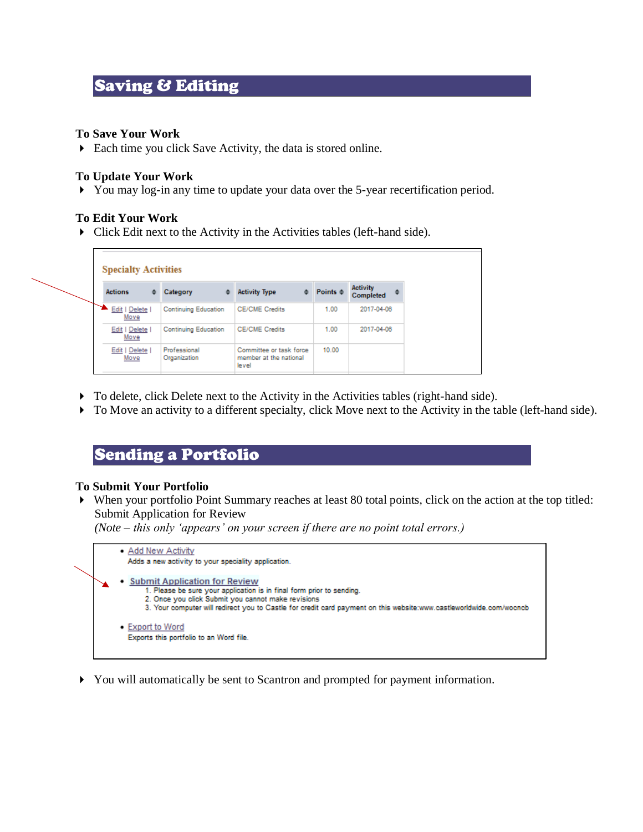## Saving & Editing

#### **To Save Your Work**

Each time you click Save Activity, the data is stored online.

#### **To Update Your Work**

You may log-in any time to update your data over the 5-year recertification period.

#### **To Edit Your Work**

Click Edit next to the Activity in the Activities tables (left-hand side).

|  | <b>Specialty Activities</b> |                              |  |                                                            |               |                              |  |  |  |  |
|--|-----------------------------|------------------------------|--|------------------------------------------------------------|---------------|------------------------------|--|--|--|--|
|  | <b>Actions</b>              | Category                     |  | <b>Activity Type</b>                                       | Points $\phi$ | <b>Activity</b><br>Completed |  |  |  |  |
|  | Edit   Delete  <br>Move     | <b>Continuing Education</b>  |  | <b>CE/CME Credits</b>                                      | 1.00          | 2017-04-06                   |  |  |  |  |
|  | Edit   Delete  <br>Move     | <b>Continuing Education</b>  |  | <b>CE/CME Credits</b>                                      | 1.00          | 2017-04-06                   |  |  |  |  |
|  | Edit   Delete  <br>Move     | Professional<br>Organization |  | Committee or task force<br>member at the national<br>level | 10.00         |                              |  |  |  |  |

- To delete, click Delete next to the Activity in the Activities tables (right-hand side).
- To Move an activity to a different specialty, click Move next to the Activity in the table (left-hand side).

### Sending a Portfolio

#### **To Submit Your Portfolio**

 When your portfolio Point Summary reaches at least 80 total points, click on the action at the top titled: Submit Application for Review

*(Note – this only 'appears' on your screen if there are no point total errors.)*



You will automatically be sent to Scantron and prompted for payment information.